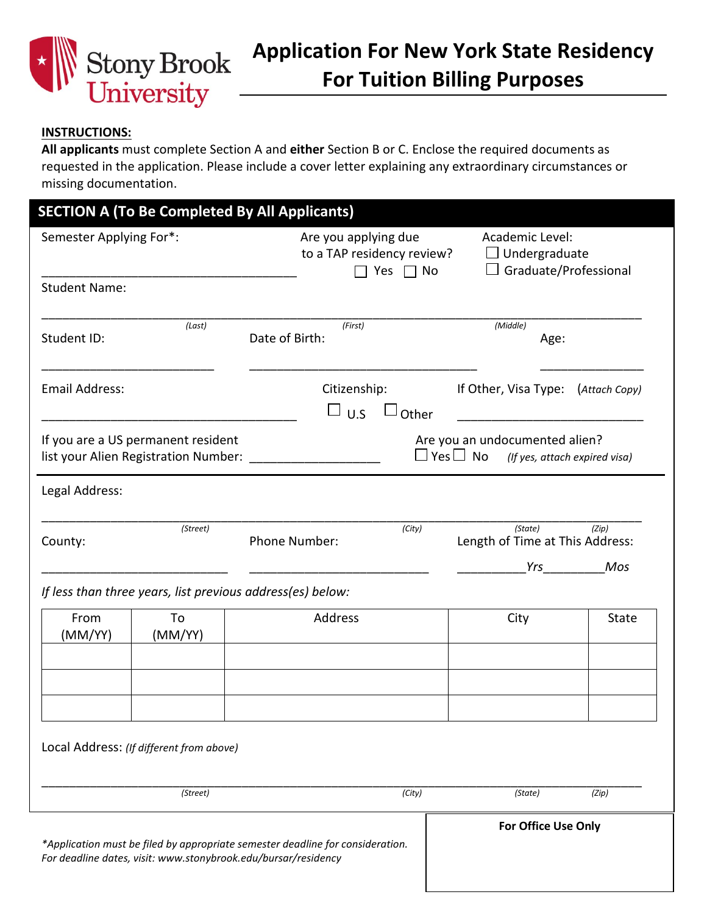

## **INSTRUCTIONS:**

**All applicants** must complete Section A and **either** Section B or C. Enclose the required documents as requested in the application. Please include a cover letter explaining any extraordinary circumstances or missing documentation.

| Semester Applying For*:                  |          | Are you applying due<br>to a TAP residency review?<br>Yes $\Box$ No | Academic Level:<br>$\Box$ Undergraduate<br>Graduate/Professional                                                                                                                                                                           |
|------------------------------------------|----------|---------------------------------------------------------------------|--------------------------------------------------------------------------------------------------------------------------------------------------------------------------------------------------------------------------------------------|
| <b>Student Name:</b>                     |          |                                                                     |                                                                                                                                                                                                                                            |
| Student ID:                              | (Last)   | (First)<br>Date of Birth:                                           | (Middle)<br>Age:                                                                                                                                                                                                                           |
| Email Address:                           |          | Citizenship:<br>$\sqcup$ u.s                                        | If Other, Visa Type: (Attach Copy)<br>Other                                                                                                                                                                                                |
| If you are a US permanent resident       |          | list your Alien Registration Number:                                | Are you an undocumented alien?<br>$\Box$ Yes $\Box$ No (If yes, attach expired visa)                                                                                                                                                       |
| Legal Address:                           |          |                                                                     |                                                                                                                                                                                                                                            |
| County:                                  | (Street) | Phone Number:                                                       | (State)<br>(Zip)<br>(City)<br>Length of Time at This Address:                                                                                                                                                                              |
|                                          |          | If less than three years, list previous address(es) below:          | Mos<br><b>Yrs</b> and the second second the second second second second second second second second second second second second second second second second second second second second second second second second second second second s |
| From                                     | To       | Address                                                             | City<br><b>State</b>                                                                                                                                                                                                                       |
| (MM/YY)                                  | (MM/YY)  |                                                                     |                                                                                                                                                                                                                                            |
|                                          |          |                                                                     |                                                                                                                                                                                                                                            |
|                                          |          |                                                                     |                                                                                                                                                                                                                                            |
| Local Address: (If different from above) |          |                                                                     |                                                                                                                                                                                                                                            |
|                                          | (Street) |                                                                     | (City)<br>(State)<br>(Zip)                                                                                                                                                                                                                 |
|                                          |          |                                                                     |                                                                                                                                                                                                                                            |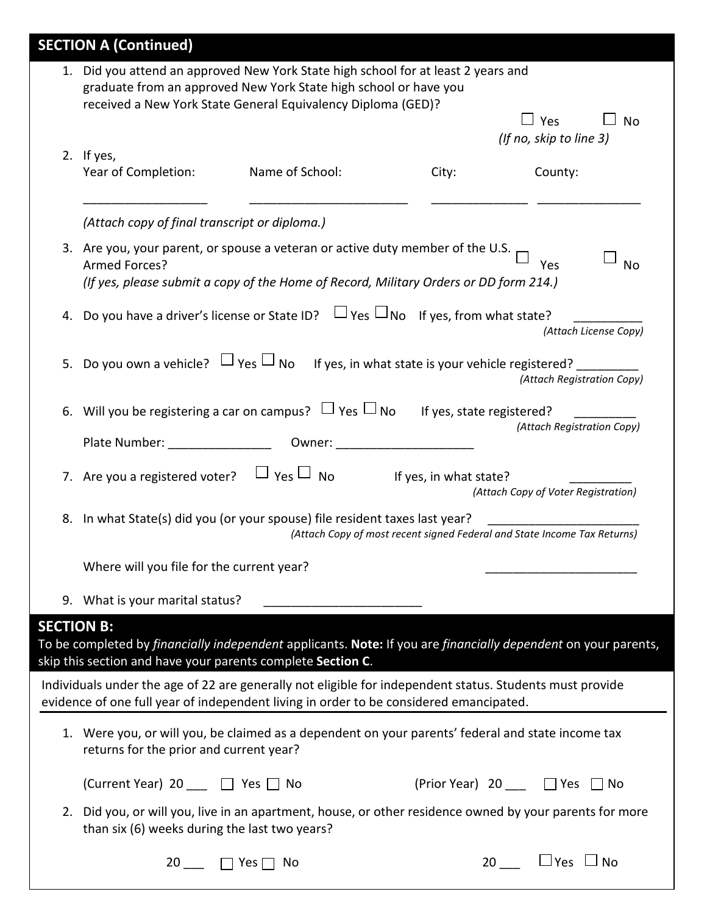|                   | <b>SECTION A (Continued)</b>                                                                                                                                                                                          |                 |                            |                                                                                 |
|-------------------|-----------------------------------------------------------------------------------------------------------------------------------------------------------------------------------------------------------------------|-----------------|----------------------------|---------------------------------------------------------------------------------|
|                   | 1. Did you attend an approved New York State high school for at least 2 years and<br>graduate from an approved New York State high school or have you<br>received a New York State General Equivalency Diploma (GED)? |                 |                            |                                                                                 |
|                   | 2. If yes,<br>Year of Completion:                                                                                                                                                                                     | Name of School: | City:                      | $\Box$ Yes<br><b>No</b><br>(If no, skip to line 3)<br>County:                   |
|                   |                                                                                                                                                                                                                       |                 |                            |                                                                                 |
|                   | (Attach copy of final transcript or diploma.)                                                                                                                                                                         |                 |                            |                                                                                 |
|                   | 3. Are you, your parent, or spouse a veteran or active duty member of the U.S.<br>Armed Forces?<br>(If yes, please submit a copy of the Home of Record, Military Orders or DD form 214.)                              |                 |                            | Yes<br><b>No</b>                                                                |
|                   | 4. Do you have a driver's license or State ID? $\Box$ Yes $\Box$ No If yes, from what state?                                                                                                                          |                 |                            | (Attach License Copy)                                                           |
| 5.                | Do you own a vehicle? $\Box$ Yes $\Box$ No                                                                                                                                                                            |                 |                            | If yes, in what state is your vehicle registered?<br>(Attach Registration Copy) |
|                   | 6. Will you be registering a car on campus? $\Box$ Yes $\Box$ No If yes, state registered?                                                                                                                            |                 |                            | (Attach Registration Copy)                                                      |
|                   | Plate Number:                                                                                                                                                                                                         |                 |                            |                                                                                 |
|                   | 7. Are you a registered voter? $\Box$ Yes $\Box$ No                                                                                                                                                                   |                 | If yes, in what state?     | (Attach Copy of Voter Registration)                                             |
|                   | 8. In what State(s) did you (or your spouse) file resident taxes last year?                                                                                                                                           |                 |                            | (Attach Copy of most recent signed Federal and State Income Tax Returns)        |
|                   | Where will you file for the current year?                                                                                                                                                                             |                 |                            |                                                                                 |
|                   | 9. What is your marital status?                                                                                                                                                                                       |                 |                            |                                                                                 |
| <b>SECTION B:</b> | To be completed by financially independent applicants. Note: If you are financially dependent on your parents,<br>skip this section and have your parents complete Section C.                                         |                 |                            |                                                                                 |
|                   | Individuals under the age of 22 are generally not eligible for independent status. Students must provide<br>evidence of one full year of independent living in order to be considered emancipated.                    |                 |                            |                                                                                 |
|                   | 1. Were you, or will you, be claimed as a dependent on your parents' federal and state income tax<br>returns for the prior and current year?                                                                          |                 |                            |                                                                                 |
|                   | (Current Year) 20 ___ □ Yes □ No                                                                                                                                                                                      |                 | (Prior Year) 20 1 Yes ∩ No |                                                                                 |
|                   | 2. Did you, or will you, live in an apartment, house, or other residence owned by your parents for more<br>than six (6) weeks during the last two years?                                                              |                 |                            |                                                                                 |
|                   | 20 $\Box$ $\Box$ Yes $\Box$ No                                                                                                                                                                                        |                 |                            | 20 $\Box$ Yes $\Box$ No                                                         |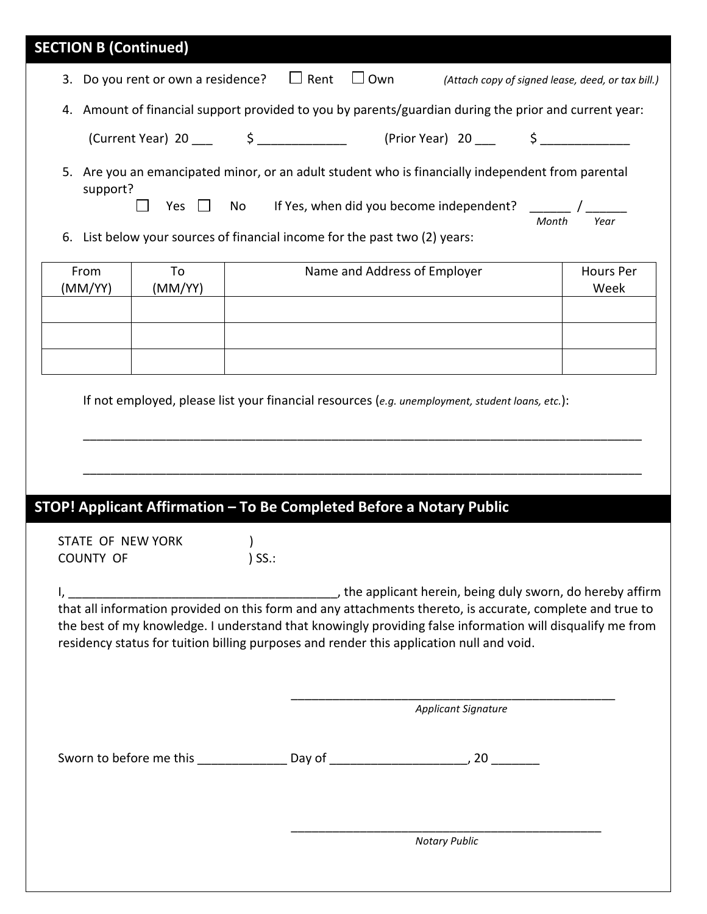| <b>SECTION B (Continued)</b>   |               |                           |                                                                                                                                                                                                                                                                                                                    |                            |       |                                                   |
|--------------------------------|---------------|---------------------------|--------------------------------------------------------------------------------------------------------------------------------------------------------------------------------------------------------------------------------------------------------------------------------------------------------------------|----------------------------|-------|---------------------------------------------------|
|                                |               |                           | 3. Do you rent or own a residence? $\Box$ Rent $\Box$ Own                                                                                                                                                                                                                                                          |                            |       | (Attach copy of signed lease, deed, or tax bill.) |
|                                |               |                           | 4. Amount of financial support provided to you by parents/guardian during the prior and current year:                                                                                                                                                                                                              |                            |       |                                                   |
|                                |               |                           |                                                                                                                                                                                                                                                                                                                    |                            |       |                                                   |
| support?                       | Yes $\Box$ No |                           | 5. Are you an emancipated minor, or an adult student who is financially independent from parental<br>If Yes, when did you become independent? ______ / ______                                                                                                                                                      |                            | Month | Year                                              |
| 6.                             |               |                           | List below your sources of financial income for the past two (2) years:                                                                                                                                                                                                                                            |                            |       |                                                   |
| From<br>(MM/YY)                | To<br>(MM/YY) |                           | Name and Address of Employer                                                                                                                                                                                                                                                                                       |                            |       | Hours Per<br>Week                                 |
|                                |               |                           |                                                                                                                                                                                                                                                                                                                    |                            |       |                                                   |
|                                |               |                           |                                                                                                                                                                                                                                                                                                                    |                            |       |                                                   |
|                                |               |                           | If not employed, please list your financial resources (e.g. unemployment, student loans, etc.):                                                                                                                                                                                                                    |                            |       |                                                   |
| STATE OF NEW YORK<br>COUNTY OF |               | $\rightarrow$<br>$)$ SS.: | STOP! Applicant Affirmation - To Be Completed Before a Notary Public                                                                                                                                                                                                                                               |                            |       |                                                   |
|                                |               |                           |                                                                                                                                                                                                                                                                                                                    |                            |       |                                                   |
|                                |               |                           | that all information provided on this form and any attachments thereto, is accurate, complete and true to<br>the best of my knowledge. I understand that knowingly providing false information will disqualify me from<br>residency status for tuition billing purposes and render this application null and void. |                            |       |                                                   |
|                                |               |                           |                                                                                                                                                                                                                                                                                                                    | <b>Applicant Signature</b> |       |                                                   |
|                                |               |                           |                                                                                                                                                                                                                                                                                                                    |                            |       |                                                   |